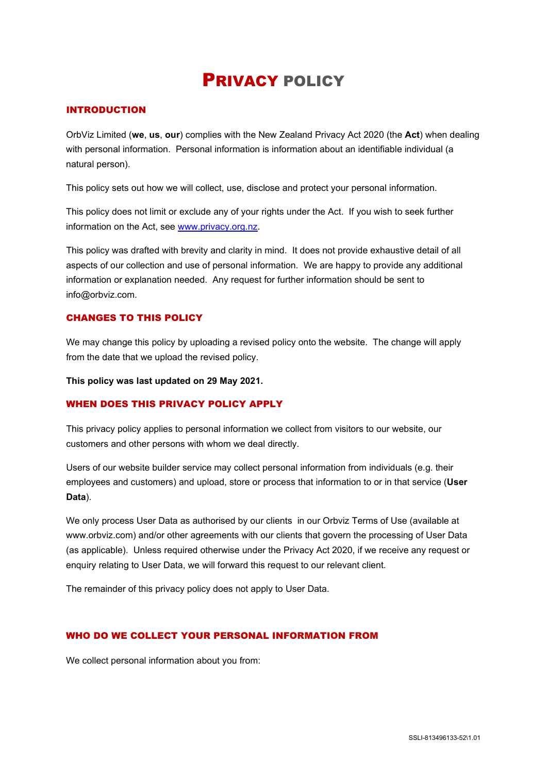# PRIVACY POLICY

# INTRODUCTION

OrbViz Limited (**we**, **us**, **our**) complies with the New Zealand Privacy Act 2020 (the **Act**) when dealing with personal information. Personal information is information about an identifiable individual (a natural person).

This policy sets out how we will collect, use, disclose and protect your personal information.

This policy does not limit or exclude any of your rights under the Act. If you wish to seek further information on the Act, see [www.privacy.org.nz.](http://www.privacy.org.nz/)

This policy was drafted with brevity and clarity in mind. It does not provide exhaustive detail of all aspects of our collection and use of personal information. We are happy to provide any additional information or explanation needed. Any request for further information should be sent to info@orbviz.com.

# CHANGES TO THIS POLICY

We may change this policy by uploading a revised policy onto the website. The change will apply from the date that we upload the revised policy.

**This policy was last updated on 29 May 2021.**

## WHEN DOES THIS PRIVACY POLICY APPLY

This privacy policy applies to personal information we collect from visitors to our website, our customers and other persons with whom we deal directly.

Users of our website builder service may collect personal information from individuals (e.g. their employees and customers) and upload, store or process that information to or in that service (**User Data**).

We only process User Data as authorised by our clients in our Orbyiz Terms of Use (available at www.orbviz.com) and/or other agreements with our clients that govern the processing of User Data (as applicable). Unless required otherwise under the Privacy Act 2020, if we receive any request or enquiry relating to User Data, we will forward this request to our relevant client.

The remainder of this privacy policy does not apply to User Data.

## WHO DO WE COLLECT YOUR PERSONAL INFORMATION FROM

We collect personal information about you from: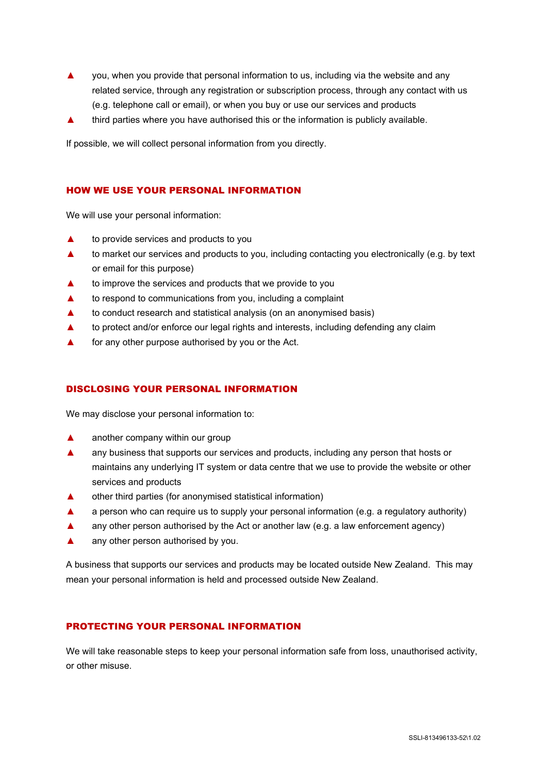- ▲ you, when you provide that personal information to us, including via the website and any related service, through any registration or subscription process, through any contact with us (e.g. telephone call or email), or when you buy or use our services and products
- ▲ third parties where you have authorised this or the information is publicly available.

If possible, we will collect personal information from you directly.

# HOW WE USE YOUR PERSONAL INFORMATION

We will use your personal information:

- ▲ to provide services and products to you
- ▲ to market our services and products to you, including contacting you electronically (e.g. by text or email for this purpose)
- to improve the services and products that we provide to you
- ▲ to respond to communications from you, including a complaint
- ▲ to conduct research and statistical analysis (on an anonymised basis)
- ▲ to protect and/or enforce our legal rights and interests, including defending any claim
- ▲ for any other purpose authorised by you or the Act.

# DISCLOSING YOUR PERSONAL INFORMATION

We may disclose your personal information to:

- ▲ another company within our group
- ▲ any business that supports our services and products, including any person that hosts or maintains any underlying IT system or data centre that we use to provide the website or other services and products
- ▲ other third parties (for anonymised statistical information)
- ▲ a person who can require us to supply your personal information (e.g. a regulatory authority)
- ▲ any other person authorised by the Act or another law (e.g. a law enforcement agency)
- ▲ any other person authorised by you.

A business that supports our services and products may be located outside New Zealand. This may mean your personal information is held and processed outside New Zealand.

## PROTECTING YOUR PERSONAL INFORMATION

We will take reasonable steps to keep your personal information safe from loss, unauthorised activity, or other misuse.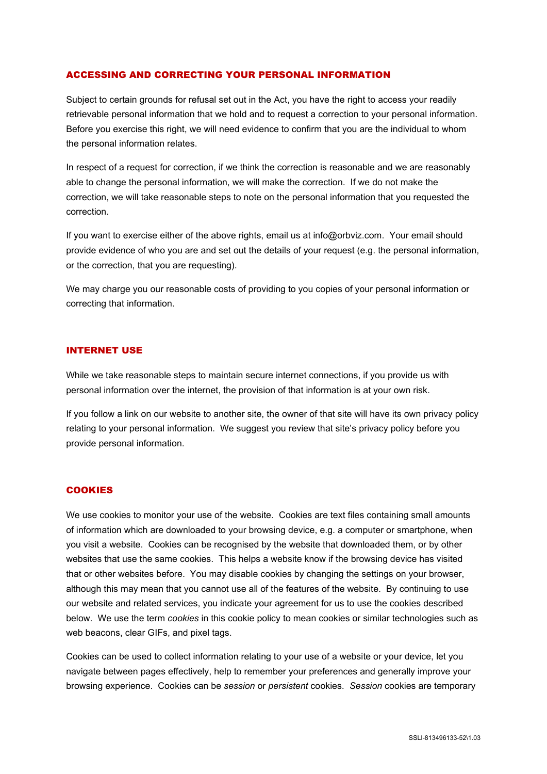#### ACCESSING AND CORRECTING YOUR PERSONAL INFORMATION

Subject to certain grounds for refusal set out in the Act, you have the right to access your readily retrievable personal information that we hold and to request a correction to your personal information. Before you exercise this right, we will need evidence to confirm that you are the individual to whom the personal information relates.

In respect of a request for correction, if we think the correction is reasonable and we are reasonably able to change the personal information, we will make the correction. If we do not make the correction, we will take reasonable steps to note on the personal information that you requested the correction.

If you want to exercise either of the above rights, email us at info@orbviz.com. Your email should provide evidence of who you are and set out the details of your request (e.g. the personal information, or the correction, that you are requesting).

We may charge you our reasonable costs of providing to you copies of your personal information or correcting that information.

#### INTERNET USE

While we take reasonable steps to maintain secure internet connections, if you provide us with personal information over the internet, the provision of that information is at your own risk.

If you follow a link on our website to another site, the owner of that site will have its own privacy policy relating to your personal information. We suggest you review that site's privacy policy before you provide personal information.

## **COOKIES**

We use cookies to monitor your use of the website. Cookies are text files containing small amounts of information which are downloaded to your browsing device, e.g. a computer or smartphone, when you visit a website. Cookies can be recognised by the website that downloaded them, or by other websites that use the same cookies. This helps a website know if the browsing device has visited that or other websites before. You may disable cookies by changing the settings on your browser, although this may mean that you cannot use all of the features of the website. By continuing to use our website and related services, you indicate your agreement for us to use the cookies described below. We use the term *cookies* in this cookie policy to mean cookies or similar technologies such as web beacons, clear GIFs, and pixel tags.

Cookies can be used to collect information relating to your use of a website or your device, let you navigate between pages effectively, help to remember your preferences and generally improve your browsing experience. Cookies can be *session* or *persistent* cookies. *Session* cookies are temporary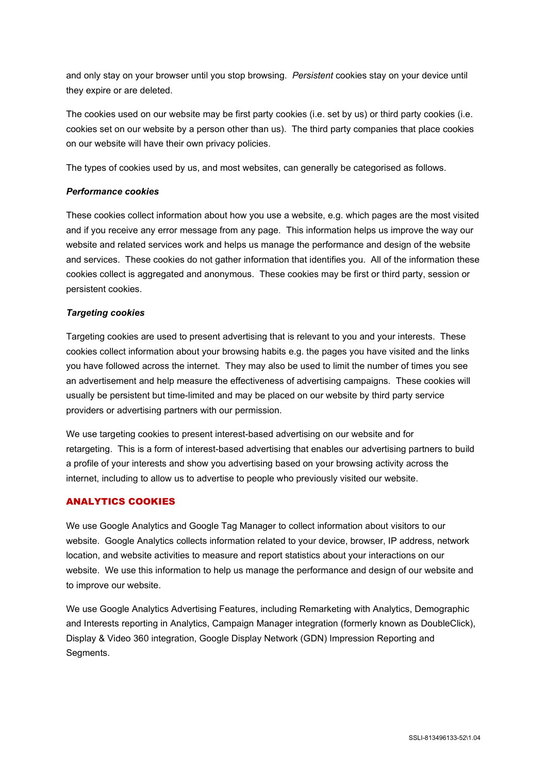and only stay on your browser until you stop browsing. *Persistent* cookies stay on your device until they expire or are deleted.

The cookies used on our website may be first party cookies (i.e. set by us) or third party cookies (i.e. cookies set on our website by a person other than us). The third party companies that place cookies on our website will have their own privacy policies.

The types of cookies used by us, and most websites, can generally be categorised as follows.

# *Performance cookies*

These cookies collect information about how you use a website, e.g. which pages are the most visited and if you receive any error message from any page. This information helps us improve the way our website and related services work and helps us manage the performance and design of the website and services. These cookies do not gather information that identifies you. All of the information these cookies collect is aggregated and anonymous. These cookies may be first or third party, session or persistent cookies.

# *Targeting cookies*

Targeting cookies are used to present advertising that is relevant to you and your interests. These cookies collect information about your browsing habits e.g. the pages you have visited and the links you have followed across the internet. They may also be used to limit the number of times you see an advertisement and help measure the effectiveness of advertising campaigns. These cookies will usually be persistent but time-limited and may be placed on our website by third party service providers or advertising partners with our permission.

We use targeting cookies to present interest-based advertising on our website and for retargeting. This is a form of interest-based advertising that enables our advertising partners to build a profile of your interests and show you advertising based on your browsing activity across the internet, including to allow us to advertise to people who previously visited our website.

# ANALYTICS COOKIES

We use Google Analytics and Google Tag Manager to collect information about visitors to our website. Google Analytics collects information related to your device, browser, IP address, network location, and website activities to measure and report statistics about your interactions on our website. We use this information to help us manage the performance and design of our website and to improve our website.

We use Google Analytics Advertising Features, including Remarketing with Analytics, Demographic and Interests reporting in Analytics, Campaign Manager integration (formerly known as DoubleClick), Display & Video 360 integration, Google Display Network (GDN) Impression Reporting and Segments.